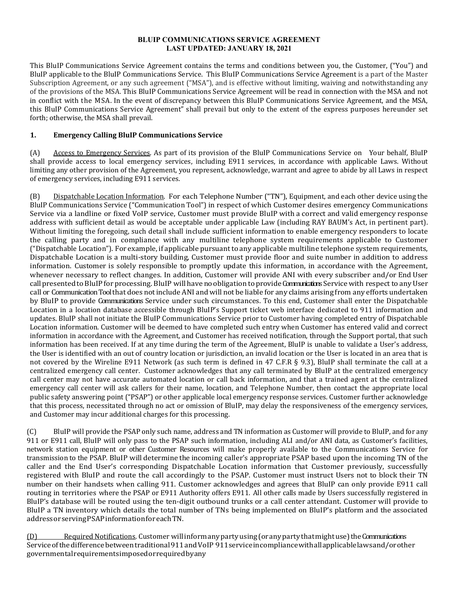#### **BLUIP COMMUNICATIONS SERVICE AGREEMENT LAST UPDATED: JANUARY 18, 2021**

This BluIP Communications Service Agreement contains the terms and conditions between you, the Customer, ("You") and BluIP applicable to the BluIP Communications Service. This BluIP Communications Service Agreement is a part of the Master Subscription Agreement, or any such agreement ("MSA"), and is effective without limiting, waiving and notwithstanding any of the provisions of the MSA. This BluIP Communications Service Agreement will be read in connection with the MSA and not in conflict with the MSA. In the event of discrepancy between this BluIP Communications Service Agreement, and the MSA, this BluIP Communications Service Agreement" shall prevail but only to the extent of the express purposes hereunder set forth; otherwise, the MSA shall prevail.

## **1. Emergency Calling BluIP Communications Service**

(A) Access to Emergency Services. As part of its provision of the BluIP Communications Service on Your behalf, BluIP shall provide access to local emergency services, including E911 services, in accordance with applicable Laws. Without limiting any other provision of the Agreement, you represent, acknowledge, warrant and agree to abide by all Laws in respect of emergency services, including E911 services.

(B) Dispatchable Location Information. For each Telephone Number ("TN"), Equipment, and each other device using the BluIP Communications Service ("Communication Tool") in respect of which Customer desires emergency Communications Service via a landline or fixed VoIP service, Customer must provide BluIP with a correct and valid emergency response address with sufficient detail as would be acceptable under applicable Law (including RAY BAUM's Act, in pertinent part). Without limiting the foregoing, such detail shall include sufficient information to enable emergency responders to locate the calling party and in compliance with any multiline telephone system requirements applicable to Customer ("Dispatchable Location"). For example, if applicable pursuant to any applicable multiline telephone system requirements, Dispatchable Location is a multi-story building, Customer must provide floor and suite number in addition to address information. Customer is solely responsible to promptly update this information, in accordance with the Agreement, whenever necessary to reflect changes. In addition, Customer will provide ANI with every subscriber and/or End User call presented to BluIP for processing. BluIP will have no obligation to provide Communications Service with respect to any User call or Communication Tool that does notinclude ANI and will not be liable for any claims arising from any efforts undertaken by BluIP to provide Communications Service under such circumstances. To this end, Customer shall enter the Dispatchable Location in a location database accessible through BluIP's Support ticket web interface dedicated to 911 information and updates. BluIP shall not initiate the BluIP Communications Service prior to Customer having completed entry of Dispatchable Location information. Customer will be deemed to have completed such entry when Customer has entered valid and correct information in accordance with the Agreement, and Customer has received notification, through the Support portal, that such information has been received. If at any time during the term of the Agreement, BluIP is unable to validate a User's address, the User is identified with an out of country location or jurisdiction, an invalid location or the User is located in an area that is not covered by the Wireline E911 Network (as such term is defined in 47 C.F.R § 9.3), BluIP shall terminate the call at a centralized emergency call center. Customer acknowledges that any call terminated by BluIP at the centralized emergency call center may not have accurate automated location or call back information, and that a trained agent at the centralized emergency call center will ask callers for their name, location, and Telephone Number, then contact the appropriate local public safety answering point ("PSAP") or other applicable local emergency response services. Customer further acknowledge that this process, necessitated through no act or omission of BluIP, may delay the responsiveness of the emergency services, and Customer may incur additional charges for this processing.

(C) BluIP will provide the PSAP only such name, address and TN information as Customer will provide to BluIP, and for any 911 or E911 call, BluIP will only pass to the PSAP such information, including ALI and/or ANI data, as Customer's facilities, network station equipment or other Customer Resources will make properly available to the Communications Service for transmission to the PSAP. BluIP will determine the incoming caller's appropriate PSAP based upon the incoming TN of the caller and the End User's corresponding Dispatchable Location information that Customer previously, successfully registered with BluIP and route the call accordingly to the PSAP. Customer must instruct Users not to block their TN number on their handsets when calling 911. Customer acknowledges and agrees that BluIP can only provide E911 call routing in territories where the PSAP or E911 Authority offers E911. All other calls made by Users successfully registered in BluIP's database will be routed using the ten-digit outbound trunks or a call center attendant. Customer will provide to BluIP a TN inventory which details the total number of TNs being implemented on BluIP's platform and the associated addressorservingPSAPinformationforeachTN.

(D) Required Notifications. Customer willinformanypartyusing(oranypartythatmightuse)theCommunications Serviceofthedifferencebetweentraditional911andVoIP 911serviceincompliancewithallapplicablelawsand/orother governmentalrequirementsimposedorrequiredbyany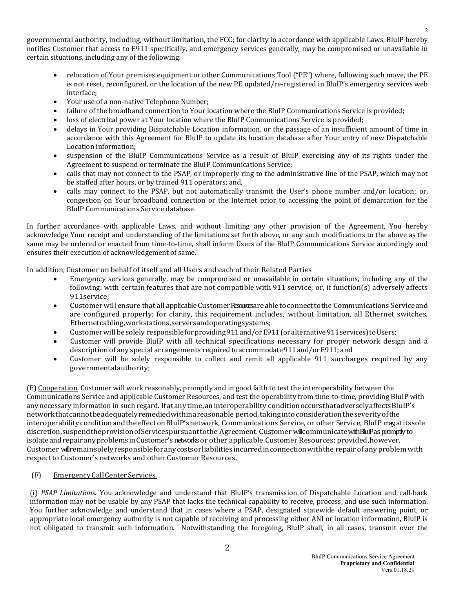governmental authority, including, without limitation, the FCC; for clarity in accordance with applicable Laws, BluIP hereby notifies Customer that access to E911 specifically, and emergency services generally, may be compromised or unavailable in certain situations, including any of the following:

- relocation of Your premises equipment or other Communications Tool ("PE") where, following such move, the PE is not reset, reconfigured, or the location of the new PE updated/re-registered in BluIP's emergency services web interface;
- Your use of a non-native Telephone Number;
- failure of the broadband connection to Your location where the BluIP Communications Service is provided;
- loss of electrical power at Your location where the BluIP Communications Service is provided;
- delays in Your providing Dispatchable Location information, or the passage of an insufficient amount of time in accordance with this Agreement for BluIP to update its location database after Your entry of new Dispatchable Location information;
- suspension of the BluIP Communications Service as a result of BluIP exercising any of its rights under the Agreement to suspend or terminate the BluIP Communications Service;
- calls that may not connect to the PSAP, or improperly ring to the administrative line of the PSAP, which may not be staffed after hours, or by trained 911 operators; and,
- calls may connect to the PSAP, but not automatically transmit the User's phone number and/or location; or, congestion on Your broadband connection or the Internet prior to accessing the point of demarcation for the BluIP Communications Service database.

In further accordance with applicable Laws, and without limiting any other provision of the Agreement, You hereby acknowledge Your receipt and understanding of the limitations set forth above, or any such modifications to the above as the same may be ordered or enacted from time-to-time, shall inform Users of the BluIP Communications Service accordingly and ensures their execution of acknowledgement of same.

In addition, Customer on behalf of itself and all Users and each of their Related Parties

- Emergency services generally, may be compromised or unavailable in certain situations, including any of the following: with certain features that are not compatible with 911 service; or, if function(s) adversely affects 911service;
- Customer will ensure that all applicable Customer Resurces are able to connect to the Communications Service and are configured properly; for clarity, this requirement includes, without limitation, all Ethernet switches, Ethernetcabling,workstations,serversandoperatingsystems;
- Customer will be solely responsible for providing 911 and/or E911 (or alternative 911 services) to Users;
- Customer will provide BluIP with all technical specifications necessary for proper network design and a description of any special arrangements required to accommodate 911 and/or E911; and
- Customer will be solely responsible to collect and remit all applicable 911 surcharges required by any governmentalauthority;

(E) Cooperation. Customer will work reasonably, promptly and in good faith to test the interoperability between the Communications Service and applicable Customer Resources, and test the operability from time-to-time, providing BluIP with any necessary information in such regard. If at any time, an interoperability conditionoccurs that adversely affects BluIP's networkthatcannotbeadequatelyremediedwithinareasonable period,takingintoconsiderationtheseverityofthe interoperabilityconditionandtheeffectonBluIP'snetwork, Communications Service, or other Service, BluIP may,atitssole discretion, suspend the provision of Services pursuant to the Agreement. Customer will communicate with BluIP as promptly to isolate and repair any problems in Customer's networks or other applicable Customer Resources; provided, however, Customer willremainsolelyresponsibleforanycostsorliabilitiesincurredinconnectionwiththe repair of any problem with respect to Customer's networks and other Customer Resources.

### (F) Emergency Call Center Services.

(i) *PSAP Limitations*. You acknowledge and understand that BluIP's transmission of Dispatchable Location and call-back information may not be usable by any PSAP that lacks the technical capability to receive, process, and use such information. You further acknowledge and understand that in cases where a PSAP, designated statewide default answering point, or appropriate local emergency authority is not capable of receiving and processing either ANI or location information, BluIP is not obligated to transmit such information. Notwithstanding the foregoing, BluIP shall, in all cases, transmit over the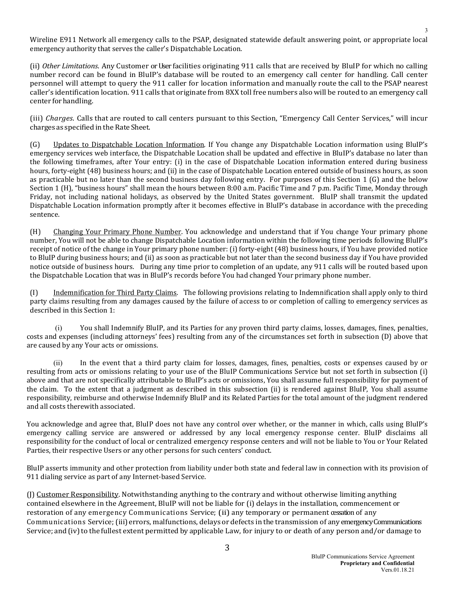Wireline E911 Network all emergency calls to the PSAP, designated statewide default answering point, or appropriate local emergency authority that serves the caller's Dispatchable Location.

(ii) *Other Limitations*. Any Customer or User facilities originating 911 calls that are received by BluIP for which no calling number record can be found in BluIP's database will be routed to an emergency call center for handling. Call center personnel will attempt to query the 911 caller for location information and manually route the call to the PSAP nearest caller's identification location. 911 calls that originate from 8XX toll free numbers also will be routed to an emergency call center forhandling.

(iii) *Charges*. Calls that are routed to call centers pursuant to this Section, "Emergency Call Center Services," will incur charges as specified in the Rate Sheet.

(G) Updates to Dispatchable Location Information. If You change any Dispatchable Location information using BluIP's emergency services web interface, the Dispatchable Location shall be updated and effective in BluIP's database no later than the following timeframes, after Your entry: (i) in the case of Dispatchable Location information entered during business hours, forty-eight (48) business hours; and (ii) in the case of Dispatchable Location entered outside of business hours, as soon as practicable but no later than the second business day following entry. For purposes of this Section 1 (G) and the below Section 1 (H), "business hours" shall mean the hours between 8:00 a.m. Pacific Time and 7 p.m. Pacific Time, Monday through Friday, not including national holidays, as observed by the United States government. BluIP shall transmit the updated Dispatchable Location information promptly after it becomes effective in BluIP's database in accordance with the preceding sentence.

(H) Changing Your Primary Phone Number. You acknowledge and understand that if You change Your primary phone number, You will not be able to change Dispatchable Location information within the following time periods following BluIP's receipt of notice of the change in Your primary phone number: (i) forty-eight (48) business hours, if You have provided notice to BluIP during business hours; and (ii) as soon as practicable but not later than the second business day if You have provided notice outside of business hours. During any time prior to completion of an update, any 911 calls will be routed based upon the Dispatchable Location that was in BluIP's records before You had changed Your primary phone number.

(I) Indemnification for Third Party Claims. The following provisions relating to Indemnification shall apply only to third party claims resulting from any damages caused by the failure of access to or completion of calling to emergency services as described in this Section 1:

You shall Indemnify BluIP, and its Parties for any proven third party claims, losses, damages, fines, penalties, costs and expenses (including attorneys' fees) resulting from any of the circumstances set forth in subsection (D) above that are caused by any Your acts or omissions.

(ii) In the event that a third party claim for losses, damages, fines, penalties, costs or expenses caused by or resulting from acts or omissions relating to your use of the BluIP Communications Service but not set forth in subsection (i) above and that are not specifically attributable to BluIP's acts or omissions, You shall assume full responsibility for payment of the claim. To the extent that a judgment as described in this subsection (ii) is rendered against BluIP, You shall assume responsibility, reimburse and otherwise Indemnify BluIP and its Related Parties for the total amount of the judgment rendered and all costs therewith associated.

You acknowledge and agree that, BluIP does not have any control over whether, or the manner in which, calls using BluIP's emergency calling service are answered or addressed by any local emergency response center. BluIP disclaims all responsibility for the conduct of local or centralized emergency response centers and will not be liable to You or Your Related Parties, their respective Users or any other persons for such centers' conduct.

BluIP asserts immunity and other protection from liability under both state and federal law in connection with its provision of 911 dialing service as part of any Internet-based Service.

(J) Customer Responsibility. Notwithstanding anything to the contrary and without otherwise limiting anything contained elsewhere in the Agreement, BluIP will not be liable for (i) delays in the installation, commencement or restoration of any emergency Communications Service; (ii) any temporary or permanent cessation of any Communications Service; (iii) errors, malfunctions, delays or defects in the transmission of any emergency Communications Service; and (iv) to the fullest extent permitted by applicable Law, for injury to or death of any person and/or damage to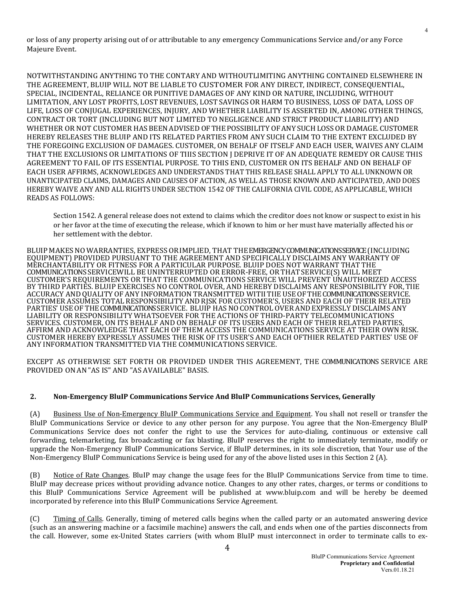or loss of any property arising out of or attributable to any emergency Communications Service and/or any Force Majeure Event.

NOTWITHSTANDING ANYTHING TO THE CONTARY AND WITHOUTLIMITING ANYTHING CONTAINED ELSEWHERE IN THE AGREEMENT, BLUIP WILL NOT BE LIABLE TO CUSTOMER FOR ANY DIRECT, INDIRECT, CONSEQUENTIAL, SPECIAL, INCIDENTAL, RELIANCE OR PUNITIVE DAMAGES OF ANY KIND OR NATURE, INCLUDING, WITHOUT LIMITATION, ANY LOST PROFITS, LOST REVENUES, LOST SAVINGS ORHARM TO BUSINESS, LOSS OF DATA, LOSS OF LIFE, LOSS OF CONJUGAL EXPERIENCES, INJURY, AND WHETHER LIABILITY IS ASSERTED IN, AMONG OTHER THINGS, CONTRACT OR TORT (INCLUDING BUT NOT LIMITED TO NEGLIGENCE AND STRICT PRODUCT LIABILITY) AND WHETHER OR NOT CUSTOMER HAS BEENADVISED OFTHEPOSSIBILITY OFANYSUCHLOSSOR DAMAGE.CUSTOMER HEREBY RELEASES THE BLUIP AND ITS RELATED PARTIES FROM ANY SUCH CLAIM TO THE EXTENT EXCLUDED BY THE FOREGOING EXCLUSION OF DAMAGES. CUSTOMER, ON BEHALF OF ITSELF AND EACH USER, WAIVES ANY CLAIM THAT THE EXCLUSIONS OR LIMITATIONS OF TIIIS SECTION J DEPRIVE IT OF AN ADEQUATE REMEDY OR CAUSE THIS AGREEMENT TO FAIL OF ITS ESSENTIAL PURPOSE. TO THIS END, CUSTOMER ON ITS BEHALF AND ON BEHALF OF EACH USER AFFIRMS, ACKNOWLEDGES AND UNDERSTANDS THAT THIS RELEASE SHALL APPLY TO ALL UNKNOWN OR UNANTICIPATED CLAIMS, DAMAGES AND CAUSES OF ACTION, AS WELL AS THOSE KNOWN AND ANTICIPATED, AND DOES HEREBY WAIVE ANY AND ALL RIGHTS UNDER SECTION 1542 OF THE CALIFORNIA CIVIL CODE, AS APPLICABLE, WHICH READS AS FOLLOWS:

Section 1542. A general release does not extend to claims which the creditor does not know or suspect to exist in his or her favor at the time of executing the release, which if known to him or her must have materially affected his or her settlement with the debtor.

BLUIP MAKES NO WARRANTIES, EXPRESS ORIMPLIED, THAT THEEMERGENCY COMMUNICATIONS SERVICE(INCLUDING EQUIPMENT) PROVIDED PURSUANT TO THE AGREEMENT AND SPECIFICALLY DISCLAIMS ANY WARRANTY OF MERCHANTABILITY OR FITNESS FOR A PARTICULAR PURPOSE. BLUIP DOES NOT WARRANT THAT THE COMMUNICATIONS SERVICEWILL BE UNINTERRUPTED OR ERROR-FREE, ORTHATSERVICE(S) WILL MEET CUSTOMER'S REQUIREMENTS OR THAT THE COMMUNICATIONS SERVICE WILL PREVENT UNAUTHORIZED ACCESS BY THIRD PARTIES. BLUIP EXERCISES NO CONTROL OVER, AND HEREBY DISCLAIMS ANY RESPONSIBILITY FOR,TIIE ACCURACY AND QUALITY OFANY INFORMATION TRANSMITTED WITIITIIE USEOFTHECOMMUNICATIONS SERVICE. CUSTOMER ASSUMES TOTAL RESPONSIBILITY ANDRJSK FOR CUSTOMER'S, USERS AND EACH OF THEIR RELATED PARTIES' USEOFTHECOMMUNICATIONS SERVICE. BLUIP HAS NOCONTROL OVERANDEXPRESSLY DISCLAIMS ANY LIABILITY OR RESPONSIBILITY WHATSOEVER FOR THE ACTIONS OF THIRD-PARTY TELECOMMUNICATIONS SERVICES. CUSTOMER, ON ITS BEHALF AND ON BEHALF OF ITS USERS AND EACH OF THEIR RELATED PARTIES, AFFIRM AND ACKNOWLEDGE THAT EACH OF THEM ACCESS THE COMMUNICATIONS SERVICE AT THEIR OWN RISK. CUSTOMER HEREBY EXPRESSLY ASSUMES THE RISK OF ITS USER'S AND EACH OFTHIER RELATED PARTIES' USE OF ANY INFORMATION TRANSMITTED VIA THE COMMUNICATIONS SERVICE.

EXCEPT AS OTHERWISE SET FORTH OR PROVIDED UNDER THIS AGREEMENT, THE COMMUNICATIONS SERVICE ARE PROVIDED ONAN"AS IS" AND "AS AVAILABLE" BASIS.

#### **2. Non-Emergency BluIP Communications Service And BluIP Communications Services, Generally**

(A) Business Use of Non-Emergency BluIP Communications Service and Equipment. You shall not resell or transfer the BluIP Communications Service or device to any other person for any purpose. You agree that the Non-Emergency BluIP Communications Service does not confer the right to use the Services for auto-dialing, continuous or extensive call forwarding, telemarketing, fax broadcasting or fax blasting. BluIP reserves the right to immediately terminate, modify or upgrade the Non-Emergency BluIP Communications Service, if BluIP determines, in its sole discretion, that Your use of the Non-Emergency BluIP Communications Service is being used for any of the above listed uses in this Section 2 (A).

(B) Notice of Rate Changes. BluIP may change the usage fees for the BluIP Communications Service from time to time. BluIP may decrease prices without providing advance notice. Changes to any other rates, charges, or terms or conditions to this BluIP Communications Service Agreement will be published at www.bluip.com and will be hereby be deemed incorporated by reference into this BluIP Communications Service Agreement.

(C) Timing of Calls. Generally, timing of metered calls begins when the called party or an automated answering device (such as an answering machine or a facsimile machine) answers the call, and ends when one of the parties disconnects from the call. However, some ex-United States carriers (with whom BluIP must interconnect in order to terminate calls to ex-

4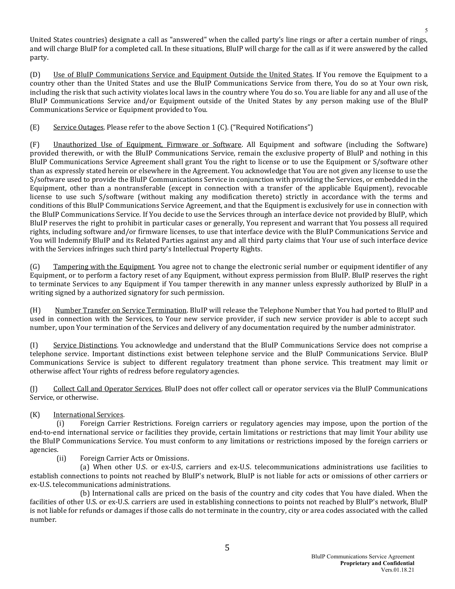United States countries) designate a call as "answered" when the called party's line rings or after a certain number of rings, and will charge BluIP for a completed call. In these situations, BluIP will charge for the call as if it were answered by the called party.

(D) Use of BluIP Communications Service and Equipment Outside the United States. If You remove the Equipment to a country other than the United States and use the BluIP Communications Service from there, You do so at Your own risk, including the risk that such activity violates local laws in the country where You do so. You are liable for any and all use of the BluIP Communications Service and/or Equipment outside of the United States by any person making use of the BluIP Communications Service or Equipment provided to You.

(E) Service Outages. Please refer to the above Section 1 (C). ("Required Notifications")

(F) Unauthorized Use of Equipment, Firmware or Software. All Equipment and software (including the Software) provided therewith, or with the BluIP Communications Service, remain the exclusive property of BluIP and nothing in this BluIP Communications Service Agreement shall grant You the right to license or to use the Equipment or S/software other than as expressly stated herein or elsewhere in the Agreement. You acknowledge that You are not given any license to use the S/software used to provide the BluIP Communications Service in conjunction with providing the Services, or embedded in the Equipment, other than a nontransferable (except in connection with a transfer of the applicable Equipment), revocable license to use such S/software (without making any modification thereto) strictly in accordance with the terms and conditions of this BluIP Communications Service Agreement, and that the Equipment is exclusively for use in connection with the BluIP Communications Service. If You decide to use the Services through an interface device not provided by BluIP, which BluIP reserves the right to prohibit in particular cases or generally, You represent and warrant that You possess all required rights, including software and/or firmware licenses, to use that interface device with the BluIP Communications Service and You will Indemnify BluIP and its Related Parties against any and all third party claims that Your use of such interface device with the Services infringes such third party's Intellectual Property Rights.

(G) Tampering with the Equipment. You agree not to change the electronic serial number or equipment identifier of any Equipment, or to perform a factory reset of any Equipment, without express permission from BluIP. BluIP reserves the right to terminate Services to any Equipment if You tamper therewith in any manner unless expressly authorized by BluIP in a writing signed by a authorized signatory for such permission.

(H) Number Transfer on Service Termination. BluIP will release the Telephone Number that You had ported to BluIP and used in connection with the Services, to Your new service provider, if such new service provider is able to accept such number, upon Your termination of the Services and delivery of any documentation required by the number administrator.

(I) Service Distinctions. You acknowledge and understand that the BluIP Communications Service does not comprise a telephone service. Important distinctions exist between telephone service and the BluIP Communications Service. BluIP Communications Service is subject to different regulatory treatment than phone service. This treatment may limit or otherwise affect Your rights of redress before regulatory agencies.

(J) Collect Call and Operator Services. BluIP does not offer collect call or operator services via the BluIP Communications Service, or otherwise.

# (K) International Services.<br>(i) Foreign Carrie

Foreign Carrier Restrictions. Foreign carriers or regulatory agencies may impose, upon the portion of the end-to-end international service or facilities they provide, certain limitations or restrictions that may limit Your ability use the BluIP Communications Service. You must conform to any limitations or restrictions imposed by the foreign carriers or agencies.<br>(ii)

Foreign Carrier Acts or Omissions.

(a) When other U.S. or ex-U.S, carriers and ex-U.S. telecommunications administrations use facilities to establish connections to points not reached by BluIP's network, BluIP is not liable for acts or omissions of other carriers or ex-U.S. telecommunications administrations.

(b) International calls are priced on the basis of the country and city codes that You have dialed. When the facilities of other U.S. or ex-U.S. carriers are used in establishing connections to points not reached by BluIP's network, BluIP is not liable for refunds or damages if those calls do not terminate in the country, city or area codes associated with the called number.